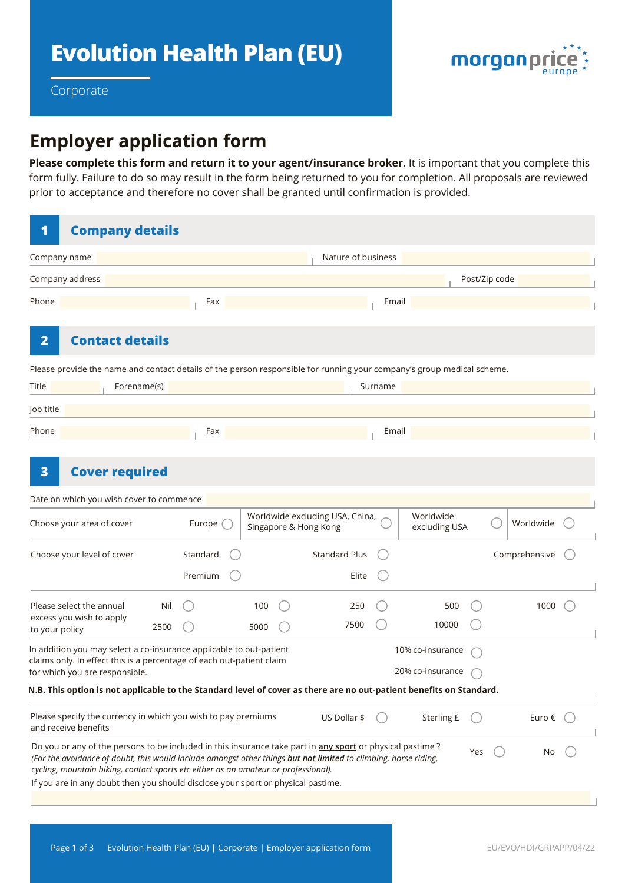

Corporate

# **Employer application form**

**Please complete this form and return it to your agent/insurance broker.** It is important that you complete this form fully. Failure to do so may result in the form being returned to you for completion. All proposals are reviewed prior to acceptance and therefore no cover shall be granted until confirmation is provided.

| 1                                                                                                                                                                                                                      | <b>Company details</b>                                                                                                                                                                                                                                                                                                                                                                                  |          |          |      |                      |                                                          |         |                            |               |               |            |  |
|------------------------------------------------------------------------------------------------------------------------------------------------------------------------------------------------------------------------|---------------------------------------------------------------------------------------------------------------------------------------------------------------------------------------------------------------------------------------------------------------------------------------------------------------------------------------------------------------------------------------------------------|----------|----------|------|----------------------|----------------------------------------------------------|---------|----------------------------|---------------|---------------|------------|--|
| Company name                                                                                                                                                                                                           |                                                                                                                                                                                                                                                                                                                                                                                                         |          |          |      | Nature of business   |                                                          |         |                            |               |               |            |  |
| Company address                                                                                                                                                                                                        |                                                                                                                                                                                                                                                                                                                                                                                                         |          |          |      |                      |                                                          |         |                            | Post/Zip code |               |            |  |
| Phone                                                                                                                                                                                                                  |                                                                                                                                                                                                                                                                                                                                                                                                         |          | Fax      |      |                      |                                                          | Email   |                            |               |               |            |  |
| $\overline{\mathbf{2}}$                                                                                                                                                                                                | <b>Contact details</b>                                                                                                                                                                                                                                                                                                                                                                                  |          |          |      |                      |                                                          |         |                            |               |               |            |  |
|                                                                                                                                                                                                                        | Please provide the name and contact details of the person responsible for running your company's group medical scheme.                                                                                                                                                                                                                                                                                  |          |          |      |                      |                                                          |         |                            |               |               |            |  |
| Title                                                                                                                                                                                                                  | Forename(s)                                                                                                                                                                                                                                                                                                                                                                                             |          |          |      |                      |                                                          | Surname |                            |               |               |            |  |
| Job title                                                                                                                                                                                                              |                                                                                                                                                                                                                                                                                                                                                                                                         |          |          |      |                      |                                                          |         |                            |               |               |            |  |
| Phone                                                                                                                                                                                                                  |                                                                                                                                                                                                                                                                                                                                                                                                         |          | Fax      |      |                      |                                                          | Email   |                            |               |               |            |  |
| 3                                                                                                                                                                                                                      | <b>Cover required</b>                                                                                                                                                                                                                                                                                                                                                                                   |          |          |      |                      |                                                          |         |                            |               |               |            |  |
|                                                                                                                                                                                                                        | Date on which you wish cover to commence                                                                                                                                                                                                                                                                                                                                                                |          |          |      |                      |                                                          |         |                            |               |               |            |  |
|                                                                                                                                                                                                                        | Choose your area of cover                                                                                                                                                                                                                                                                                                                                                                               |          | Europe ( |      |                      | Worldwide excluding USA, China,<br>Singapore & Hong Kong |         | Worldwide<br>excluding USA |               |               | Worldwide  |  |
| Choose your level of cover                                                                                                                                                                                             |                                                                                                                                                                                                                                                                                                                                                                                                         | Standard |          |      | <b>Standard Plus</b> |                                                          |         |                            |               | Comprehensive |            |  |
|                                                                                                                                                                                                                        |                                                                                                                                                                                                                                                                                                                                                                                                         |          | Premium  |      |                      | Elite                                                    |         |                            |               |               |            |  |
| Please select the annual<br>excess you wish to apply<br>to your policy                                                                                                                                                 |                                                                                                                                                                                                                                                                                                                                                                                                         | Nil      |          | 100  |                      | 250                                                      |         | 500                        |               |               | 1000       |  |
|                                                                                                                                                                                                                        |                                                                                                                                                                                                                                                                                                                                                                                                         | 2500     |          | 5000 |                      | 7500                                                     |         | 10000                      |               |               |            |  |
| In addition you may select a co-insurance applicable to out-patient<br>10% co-insurance<br>claims only. In effect this is a percentage of each out-patient claim<br>20% co-insurance<br>for which you are responsible. |                                                                                                                                                                                                                                                                                                                                                                                                         |          |          |      |                      |                                                          |         |                            |               |               |            |  |
|                                                                                                                                                                                                                        | N.B. This option is not applicable to the Standard level of cover as there are no out-patient benefits on Standard.                                                                                                                                                                                                                                                                                     |          |          |      |                      |                                                          |         |                            |               |               |            |  |
| Please specify the currency in which you wish to pay premiums<br>and receive benefits                                                                                                                                  |                                                                                                                                                                                                                                                                                                                                                                                                         |          |          |      |                      | US Dollar \$                                             |         | Sterling £                 |               |               | Euro $\in$ |  |
|                                                                                                                                                                                                                        | Do you or any of the persons to be included in this insurance take part in any sport or physical pastime?<br>(For the avoidance of doubt, this would include amongst other things but not limited to climbing, horse riding,<br>cycling, mountain biking, contact sports etc either as an amateur or professional).<br>If you are in any doubt then you should disclose your sport or physical pastime. |          |          |      |                      |                                                          |         |                            | Yes           |               | No         |  |
|                                                                                                                                                                                                                        |                                                                                                                                                                                                                                                                                                                                                                                                         |          |          |      |                      |                                                          |         |                            |               |               |            |  |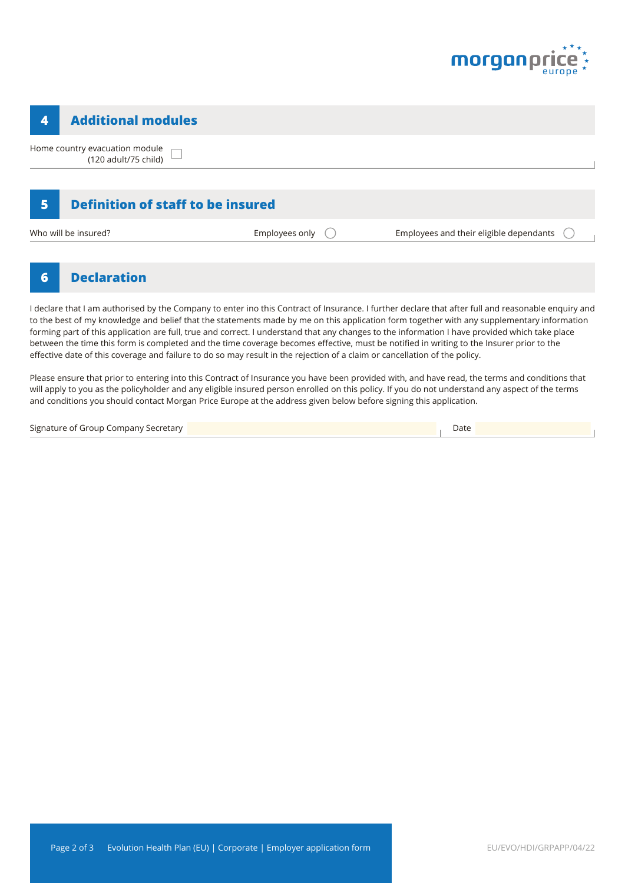

#### **4 Additional modules**

Home country evacuation module П (120 adult/75 child)

## **5 Definition of staff to be insured**

Who will be insured? The insured? Employees only C Employees and their eligible dependants

### **6 Declaration**

I declare that I am authorised by the Company to enter ino this Contract of Insurance. I further declare that after full and reasonable enquiry and to the best of my knowledge and belief that the statements made by me on this application form together with any supplementary information forming part of this application are full, true and correct. I understand that any changes to the information I have provided which take place between the time this form is completed and the time coverage becomes effective, must be notified in writing to the Insurer prior to the effective date of this coverage and failure to do so may result in the rejection of a claim or cancellation of the policy.

Please ensure that prior to entering into this Contract of Insurance you have been provided with, and have read, the terms and conditions that will apply to you as the policyholder and any eligible insured person enrolled on this policy. If you do not understand any aspect of the terms and conditions you should contact Morgan Price Europe at the address given below before signing this application.

Signature of Group Company Secretary Date (2008) and Date (2008) and Date (2008) and Date (2008) and Date (200